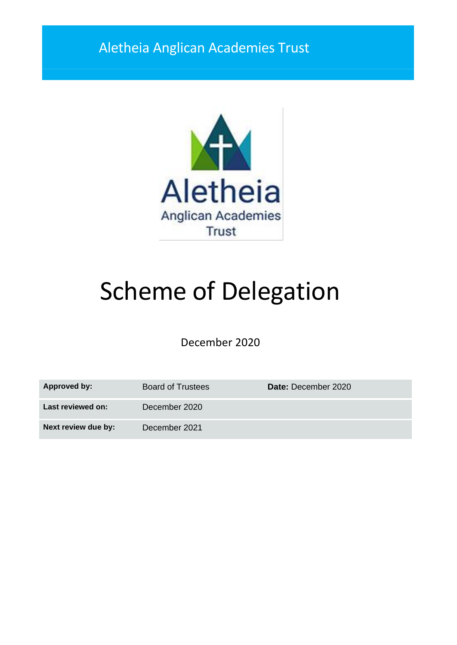# Aletheia Anglican Academies Trust



# Scheme of Delegation

December 2020

| <b>Approved by:</b> | <b>Board of Trustees</b> | Date: December 2020 |
|---------------------|--------------------------|---------------------|
| Last reviewed on:   | December 2020            |                     |
| Next review due by: | December 2021            |                     |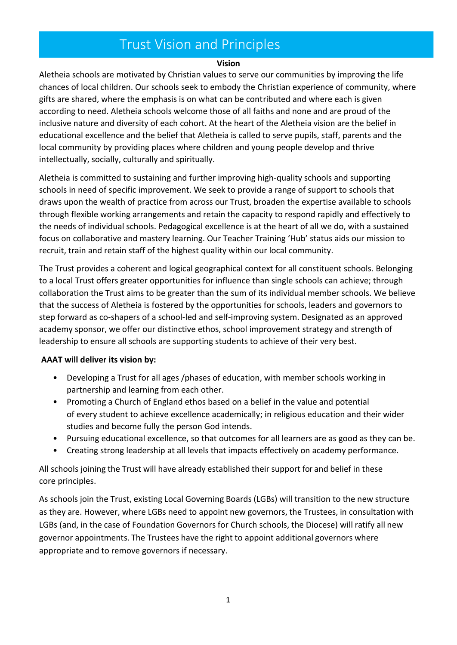### Trust Vision and Principles

#### **Vision**

Aletheia schools are motivated by Christian values to serve our communities by improving the life chances of local children. Our schools seek to embody the Christian experience of community, where gifts are shared, where the emphasis is on what can be contributed and where each is given according to need. Aletheia schools welcome those of all faiths and none and are proud of the inclusive nature and diversity of each cohort. At the heart of the Aletheia vision are the belief in educational excellence and the belief that Aletheia is called to serve pupils, staff, parents and the local community by providing places where children and young people develop and thrive intellectually, socially, culturally and spiritually.

Aletheia is committed to sustaining and further improving high-quality schools and supporting schools in need of specific improvement. We seek to provide a range of support to schools that draws upon the wealth of practice from across our Trust, broaden the expertise available to schools through flexible working arrangements and retain the capacity to respond rapidly and effectively to the needs of individual schools. Pedagogical excellence is at the heart of all we do, with a sustained focus on collaborative and mastery learning. Our Teacher Training 'Hub' status aids our mission to recruit, train and retain staff of the highest quality within our local community.

The Trust provides a coherent and logical geographical context for all constituent schools. Belonging to a local Trust offers greater opportunities for influence than single schools can achieve; through collaboration the Trust aims to be greater than the sum of its individual member schools. We believe that the success of Aletheia is fostered by the opportunities for schools, leaders and governors to step forward as co-shapers of a school-led and self-improving system. Designated as an approved academy sponsor, we offer our distinctive ethos, school improvement strategy and strength of leadership to ensure all schools are supporting students to achieve of their very best.

#### **AAAT will deliver its vision by:**

- Developing a Trust for all ages /phases of education, with member schools working in partnership and learning from each other.
- Promoting a Church of England ethos based on a belief in the value and potential of every student to achieve excellence academically; in religious education and their wider studies and become fully the person God intends.
- Pursuing educational excellence, so that outcomes for all learners are as good as they can be.
- Creating strong leadership at all levels that impacts effectively on academy performance.

All schools joining the Trust will have already established their support for and belief in these core principles.

As schools join the Trust, existing Local Governing Boards (LGBs) will transition to the new structure as they are. However, where LGBs need to appoint new governors, the Trustees, in consultation with LGBs (and, in the case of Foundation Governors for Church schools, the Diocese) will ratify all new governor appointments. The Trustees have the right to appoint additional governors where appropriate and to remove governors if necessary.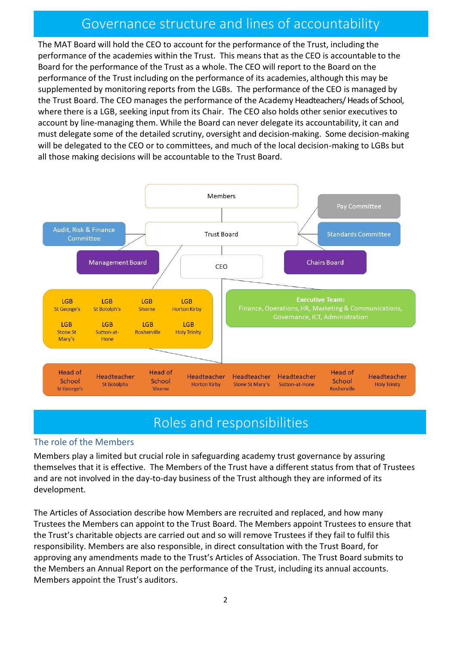### Governance structure and lines of accountability

The MAT Board will hold the CEO to account for the performance of the Trust, including the performance of the academies within the Trust. This means that as the CEO is accountable to the Board for the performance of the Trust as a whole. The CEO will report to the Board on the performance of the Trust including on the performance of its academies, although this may be supplemented by monitoring reports from the LGBs. The performance of the CEO is managed by the Trust Board. The CEO manages the performance of the Academy Headteachers/ Heads of School, where there is a LGB, seeking input from its Chair. The CEO also holds other senior executives to account by line-managing them. While the Board can never delegate its accountability, it can and must delegate some of the detailed scrutiny, oversight and decision-making. Some decision-making will be delegated to the CEO or to committees, and much of the local decision-making to LGBs but all those making decisions will be accountable to the Trust Board.



### Roles and responsibilities

#### The role of the Members

Members play a limited but crucial role in safeguarding academy trust governance by assuring themselves that it is effective. The Members of the Trust have a different status from that of Trustees and are not involved in the day-to-day business of the Trust although they are informed of its development.

The Articles of Association describe how Members are recruited and replaced, and how many Trustees the Members can appoint to the Trust Board. The Members appoint Trustees to ensure that the Trust's charitable objects are carried out and so will remove Trustees if they fail to fulfil this responsibility. Members are also responsible, in direct consultation with the Trust Board, for approving any amendments made to the Trust's Articles of Association. The Trust Board submits to the Members an Annual Report on the performance of the Trust, including its annual accounts. Members appoint the Trust's auditors.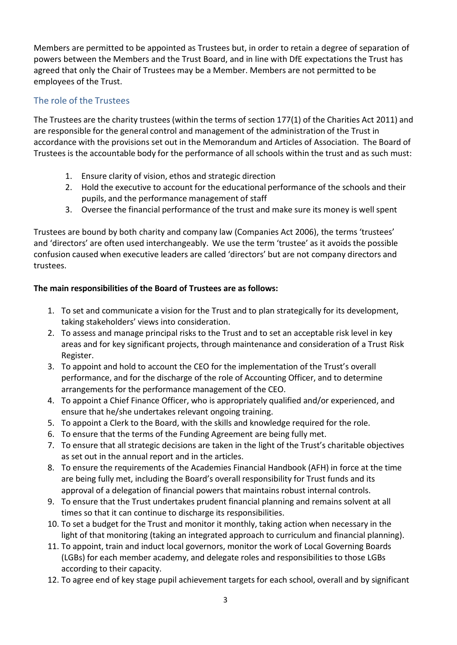Members are permitted to be appointed as Trustees but, in order to retain a degree of separation of powers between the Members and the Trust Board, and in line with DfE expectations the Trust has agreed that only the Chair of Trustees may be a Member. Members are not permitted to be employees of the Trust.

#### The role of the Trustees

The Trustees are the charity trustees (within the terms of section 177(1) of the Charities Act 2011) and are responsible for the general control and management of the administration of the Trust in accordance with the provisions set out in the Memorandum and Articles of Association. The Board of Trustees is the accountable body for the performance of all schools within the trust and as such must:

- 1. Ensure clarity of vision, ethos and strategic direction
- 2. Hold the executive to account for the educational performance of the schools and their pupils, and the performance management of staff
- 3. Oversee the financial performance of the trust and make sure its money is well spent

Trustees are bound by both charity and company law (Companies Act 2006), the terms 'trustees' and 'directors' are often used interchangeably. We use the term 'trustee' as it avoids the possible confusion caused when executive leaders are called 'directors' but are not company directors and trustees.

#### **The main responsibilities of the Board of Trustees are as follows:**

- 1. To set and communicate a vision for the Trust and to plan strategically for its development, taking stakeholders' views into consideration.
- 2. To assess and manage principal risks to the Trust and to set an acceptable risk level in key areas and for key significant projects, through maintenance and consideration of a Trust Risk Register.
- 3. To appoint and hold to account the CEO for the implementation of the Trust's overall performance, and for the discharge of the role of Accounting Officer, and to determine arrangements for the performance management of the CEO.
- 4. To appoint a Chief Finance Officer, who is appropriately qualified and/or experienced, and ensure that he/she undertakes relevant ongoing training.
- 5. To appoint a Clerk to the Board, with the skills and knowledge required for the role.
- 6. To ensure that the terms of the Funding Agreement are being fully met.
- 7. To ensure that all strategic decisions are taken in the light of the Trust's charitable objectives as set out in the annual report and in the articles.
- 8. To ensure the requirements of the Academies Financial Handbook (AFH) in force at the time are being fully met, including the Board's overall responsibility for Trust funds and its approval of a delegation of financial powers that maintains robust internal controls.
- 9. To ensure that the Trust undertakes prudent financial planning and remains solvent at all times so that it can continue to discharge its responsibilities.
- 10. To set a budget for the Trust and monitor it monthly, taking action when necessary in the light of that monitoring (taking an integrated approach to curriculum and financial planning).
- 11. To appoint, train and induct local governors, monitor the work of Local Governing Boards (LGBs) for each member academy, and delegate roles and responsibilities to those LGBs according to their capacity.
- 12. To agree end of key stage pupil achievement targets for each school, overall and by significant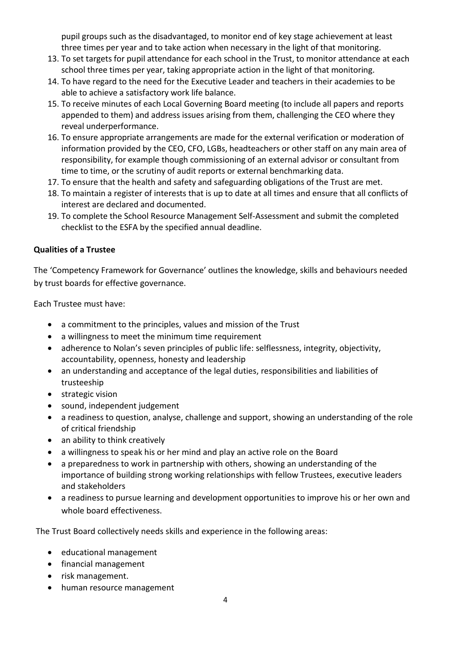pupil groups such as the disadvantaged, to monitor end of key stage achievement at least three times per year and to take action when necessary in the light of that monitoring.

- 13. To set targets for pupil attendance for each school in the Trust, to monitor attendance at each school three times per year, taking appropriate action in the light of that monitoring.
- 14. To have regard to the need for the Executive Leader and teachers in their academies to be able to achieve a satisfactory work life balance.
- 15. To receive minutes of each Local Governing Board meeting (to include all papers and reports appended to them) and address issues arising from them, challenging the CEO where they reveal underperformance.
- 16. To ensure appropriate arrangements are made for the external verification or moderation of information provided by the CEO, CFO, LGBs, headteachers or other staff on any main area of responsibility, for example though commissioning of an external advisor or consultant from time to time, or the scrutiny of audit reports or external benchmarking data.
- 17. To ensure that the health and safety and safeguarding obligations of the Trust are met.
- 18. To maintain a register of interests that is up to date at all times and ensure that all conflicts of interest are declared and documented.
- 19. To complete the School Resource Management Self-Assessment and submit the completed checklist to the ESFA by the specified annual deadline.

#### **Qualities of a Trustee**

The 'Competency Framework for Governance' outlines the knowledge, skills and behaviours needed by trust boards for effective governance.

Each Trustee must have:

- a commitment to the principles, values and mission of the Trust
- a willingness to meet the minimum time requirement
- adherence to Nolan's seven principles of public life: selflessness, integrity, objectivity, accountability, openness, honesty and leadership
- an understanding and acceptance of the legal duties, responsibilities and liabilities of trusteeship
- strategic vision
- sound, independent judgement
- a readiness to question, analyse, challenge and support, showing an understanding of the role of critical friendship
- an ability to think creatively
- a willingness to speak his or her mind and play an active role on the Board
- a preparedness to work in partnership with others, showing an understanding of the importance of building strong working relationships with fellow Trustees, executive leaders and stakeholders
- a readiness to pursue learning and development opportunities to improve his or her own and whole board effectiveness.

The Trust Board collectively needs skills and experience in the following areas:

- educational management
- financial management
- risk management.
- human resource management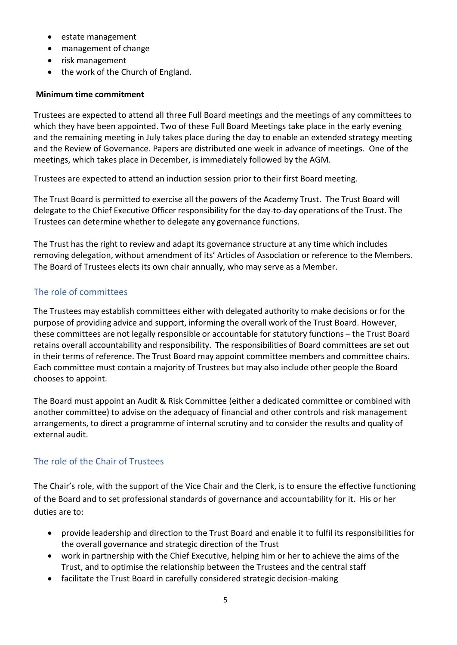- estate management
- management of change
- risk management
- the work of the Church of England.

#### **Minimum time commitment**

Trustees are expected to attend all three Full Board meetings and the meetings of any committees to which they have been appointed. Two of these Full Board Meetings take place in the early evening and the remaining meeting in July takes place during the day to enable an extended strategy meeting and the Review of Governance. Papers are distributed one week in advance of meetings. One of the meetings, which takes place in December, is immediately followed by the AGM.

Trustees are expected to attend an induction session prior to their first Board meeting.

The Trust Board is permitted to exercise all the powers of the Academy Trust. The Trust Board will delegate to the Chief Executive Officer responsibility for the day-to-day operations of the Trust. The Trustees can determine whether to delegate any governance functions.

The Trust has the right to review and adapt its governance structure at any time which includes removing delegation, without amendment of its' Articles of Association or reference to the Members. The Board of Trustees elects its own chair annually, who may serve as a Member.

#### The role of committees

The Trustees may establish committees either with delegated authority to make decisions or for the purpose of providing advice and support, informing the overall work of the Trust Board. However, these committees are not legally responsible or accountable for statutory functions – the Trust Board retains overall accountability and responsibility. The responsibilities of Board committees are set out in their terms of reference. The Trust Board may appoint committee members and committee chairs. Each committee must contain a majority of Trustees but may also include other people the Board chooses to appoint.

The Board must appoint an Audit & Risk Committee (either a dedicated committee or combined with another committee) to advise on the adequacy of financial and other controls and risk management arrangements, to direct a programme of internal scrutiny and to consider the results and quality of external audit.

#### The role of the Chair of Trustees

The Chair's role, with the support of the Vice Chair and the Clerk, is to ensure the effective functioning of the Board and to set professional standards of governance and accountability for it. His or her duties are to:

- provide leadership and direction to the Trust Board and enable it to fulfil its responsibilities for the overall governance and strategic direction of the Trust
- work in partnership with the Chief Executive, helping him or her to achieve the aims of the Trust, and to optimise the relationship between the Trustees and the central staff
- facilitate the Trust Board in carefully considered strategic decision-making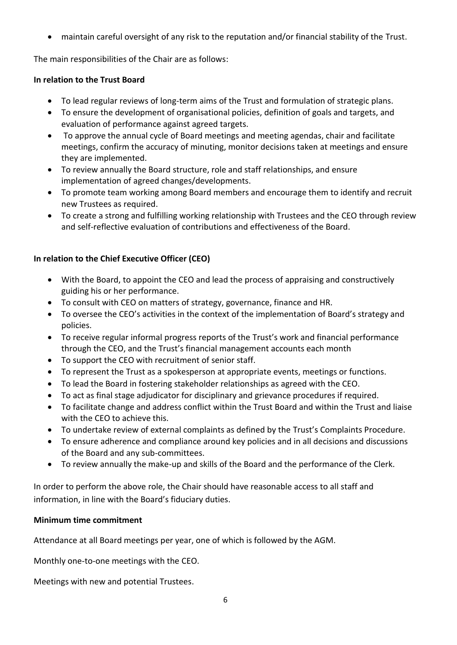• maintain careful oversight of any risk to the reputation and/or financial stability of the Trust.

The main responsibilities of the Chair are as follows:

#### **In relation to the Trust Board**

- To lead regular reviews of long-term aims of the Trust and formulation of strategic plans.
- To ensure the development of organisational policies, definition of goals and targets, and evaluation of performance against agreed targets.
- To approve the annual cycle of Board meetings and meeting agendas, chair and facilitate meetings, confirm the accuracy of minuting, monitor decisions taken at meetings and ensure they are implemented.
- To review annually the Board structure, role and staff relationships, and ensure implementation of agreed changes/developments.
- To promote team working among Board members and encourage them to identify and recruit new Trustees as required.
- To create a strong and fulfilling working relationship with Trustees and the CEO through review and self-reflective evaluation of contributions and effectiveness of the Board.

#### **In relation to the Chief Executive Officer (CEO)**

- With the Board, to appoint the CEO and lead the process of appraising and constructively guiding his or her performance.
- To consult with CEO on matters of strategy, governance, finance and HR.
- To oversee the CEO's activities in the context of the implementation of Board's strategy and policies.
- To receive regular informal progress reports of the Trust's work and financial performance through the CEO, and the Trust's financial management accounts each month
- To support the CEO with recruitment of senior staff.
- To represent the Trust as a spokesperson at appropriate events, meetings or functions.
- To lead the Board in fostering stakeholder relationships as agreed with the CEO.
- To act as final stage adjudicator for disciplinary and grievance procedures if required.
- To facilitate change and address conflict within the Trust Board and within the Trust and liaise with the CEO to achieve this.
- To undertake review of external complaints as defined by the Trust's Complaints Procedure.
- To ensure adherence and compliance around key policies and in all decisions and discussions of the Board and any sub-committees.
- To review annually the make-up and skills of the Board and the performance of the Clerk.

In order to perform the above role, the Chair should have reasonable access to all staff and information, in line with the Board's fiduciary duties.

#### **Minimum time commitment**

Attendance at all Board meetings per year, one of which is followed by the AGM.

Monthly one-to-one meetings with the CEO.

Meetings with new and potential Trustees.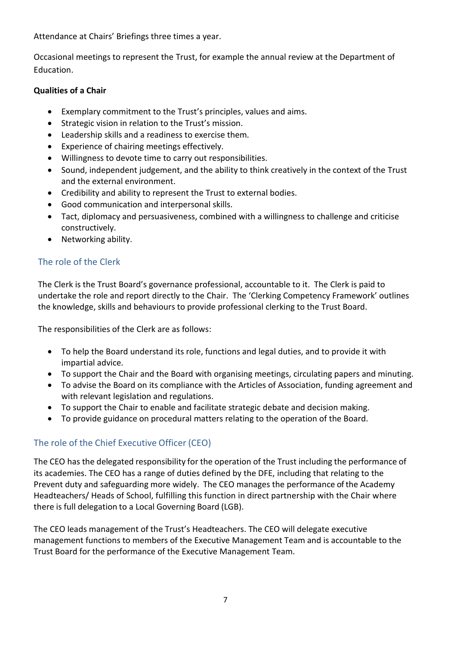Attendance at Chairs' Briefings three times a year.

Occasional meetings to represent the Trust, for example the annual review at the Department of Education.

#### **Qualities of a Chair**

- Exemplary commitment to the Trust's principles, values and aims.
- Strategic vision in relation to the Trust's mission.
- Leadership skills and a readiness to exercise them.
- Experience of chairing meetings effectively.
- Willingness to devote time to carry out responsibilities.
- Sound, independent judgement, and the ability to think creatively in the context of the Trust and the external environment.
- Credibility and ability to represent the Trust to external bodies.
- Good communication and interpersonal skills.
- Tact, diplomacy and persuasiveness, combined with a willingness to challenge and criticise constructively.
- Networking ability.

#### The role of the Clerk

The Clerk is the Trust Board's governance professional, accountable to it. The Clerk is paid to undertake the role and report directly to the Chair. The 'Clerking Competency Framework' outlines the knowledge, skills and behaviours to provide professional clerking to the Trust Board.

The responsibilities of the Clerk are as follows:

- To help the Board understand its role, functions and legal duties, and to provide it with impartial advice.
- To support the Chair and the Board with organising meetings, circulating papers and minuting.
- To advise the Board on its compliance with the Articles of Association, funding agreement and with relevant legislation and regulations.
- To support the Chair to enable and facilitate strategic debate and decision making.
- To provide guidance on procedural matters relating to the operation of the Board.

#### The role of the Chief Executive Officer (CEO)

The CEO has the delegated responsibility for the operation of the Trust including the performance of its academies. The CEO has a range of duties defined by the DFE, including that relating to the Prevent duty and safeguarding more widely. The CEO manages the performance of the Academy Headteachers/ Heads of School, fulfilling this function in direct partnership with the Chair where there is full delegation to a Local Governing Board (LGB).

The CEO leads management of the Trust's Headteachers. The CEO will delegate executive management functions to members of the Executive Management Team and is accountable to the Trust Board for the performance of the Executive Management Team.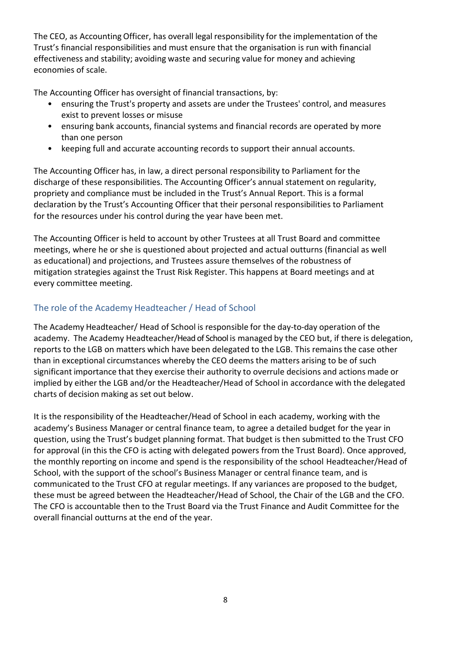The CEO, as Accounting Officer, has overall legal responsibility for the implementation of the Trust's financial responsibilities and must ensure that the organisation is run with financial effectiveness and stability; avoiding waste and securing value for money and achieving economies of scale.

The Accounting Officer has oversight of financial transactions, by:

- ensuring the Trust's property and assets are under the Trustees' control, and measures exist to prevent losses or misuse
- ensuring bank accounts, financial systems and financial records are operated by more than one person
- keeping full and accurate accounting records to support their annual accounts.

The Accounting Officer has, in law, a direct personal responsibility to Parliament for the discharge of these responsibilities. The Accounting Officer's annual statement on regularity, propriety and compliance must be included in the Trust's Annual Report. This is a formal declaration by the Trust's Accounting Officer that their personal responsibilities to Parliament for the resources under his control during the year have been met.

The Accounting Officer is held to account by other Trustees at all Trust Board and committee meetings, where he or she is questioned about projected and actual outturns (financial as well as educational) and projections, and Trustees assure themselves of the robustness of mitigation strategies against the Trust Risk Register. This happens at Board meetings and at every committee meeting.

#### The role of the Academy Headteacher / Head of School

The Academy Headteacher/ Head of School is responsible for the day-to-day operation of the academy. The Academy Headteacher/Head of School is managed by the CEO but, if there is delegation, reports to the LGB on matters which have been delegated to the LGB. This remains the case other than in exceptional circumstances whereby the CEO deems the matters arising to be of such significant importance that they exercise their authority to overrule decisions and actions made or implied by either the LGB and/or the Headteacher/Head of School in accordance with the delegated charts of decision making as set out below.

It is the responsibility of the Headteacher/Head of School in each academy, working with the academy's Business Manager or central finance team, to agree a detailed budget for the year in question, using the Trust's budget planning format. That budget is then submitted to the Trust CFO for approval (in this the CFO is acting with delegated powers from the Trust Board). Once approved, the monthly reporting on income and spend is the responsibility of the school Headteacher/Head of School, with the support of the school's Business Manager or central finance team, and is communicated to the Trust CFO at regular meetings. If any variances are proposed to the budget, these must be agreed between the Headteacher/Head of School, the Chair of the LGB and the CFO. The CFO is accountable then to the Trust Board via the Trust Finance and Audit Committee for the overall financial outturns at the end of the year.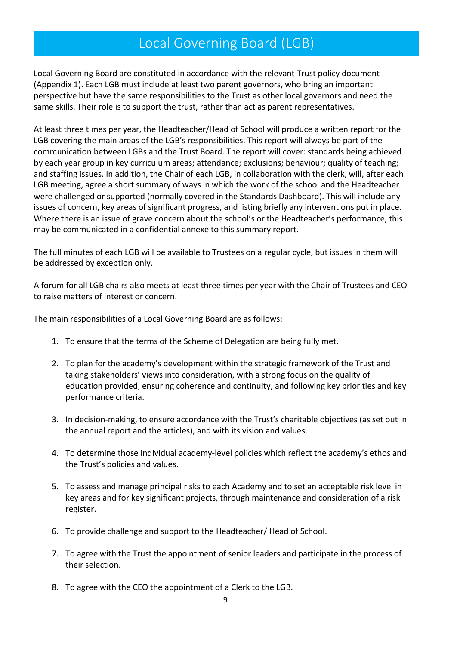### Local Governing Board (LGB)

Local Governing Board are constituted in accordance with the relevant Trust policy document (Appendix 1). Each LGB must include at least two parent governors, who bring an important perspective but have the same responsibilities to the Trust as other local governors and need the same skills. Their role is to support the trust, rather than act as parent representatives.

At least three times per year, the Headteacher/Head of School will produce a written report for the LGB covering the main areas of the LGB's responsibilities. This report will always be part of the communication between LGBs and the Trust Board. The report will cover: standards being achieved by each year group in key curriculum areas; attendance; exclusions; behaviour; quality of teaching; and staffing issues. In addition, the Chair of each LGB, in collaboration with the clerk, will, after each LGB meeting, agree a short summary of ways in which the work of the school and the Headteacher were challenged or supported (normally covered in the Standards Dashboard). This will include any issues of concern, key areas of significant progress, and listing briefly any interventions put in place. Where there is an issue of grave concern about the school's or the Headteacher's performance, this may be communicated in a confidential annexe to this summary report.

The full minutes of each LGB will be available to Trustees on a regular cycle, but issues in them will be addressed by exception only.

A forum for all LGB chairs also meets at least three times per year with the Chair of Trustees and CEO to raise matters of interest or concern.

The main responsibilities of a Local Governing Board are as follows:

- 1. To ensure that the terms of the Scheme of Delegation are being fully met.
- 2. To plan for the academy's development within the strategic framework of the Trust and taking stakeholders' views into consideration, with a strong focus on the quality of education provided, ensuring coherence and continuity, and following key priorities and key performance criteria.
- 3. In decision-making, to ensure accordance with the Trust's charitable objectives (as set out in the annual report and the articles), and with its vision and values.
- 4. To determine those individual academy-level policies which reflect the academy's ethos and the Trust's policies and values.
- 5. To assess and manage principal risks to each Academy and to set an acceptable risk level in key areas and for key significant projects, through maintenance and consideration of a risk register.
- 6. To provide challenge and support to the Headteacher/ Head of School.
- 7. To agree with the Trust the appointment of senior leaders and participate in the process of their selection.
- 8. To agree with the CEO the appointment of a Clerk to the LGB.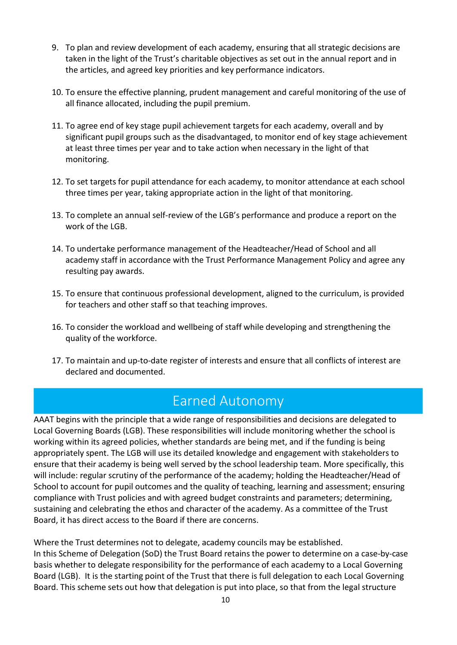- 9. To plan and review development of each academy, ensuring that all strategic decisions are taken in the light of the Trust's charitable objectives as set out in the annual report and in the articles, and agreed key priorities and key performance indicators.
- 10. To ensure the effective planning, prudent management and careful monitoring of the use of all finance allocated, including the pupil premium.
- 11. To agree end of key stage pupil achievement targets for each academy, overall and by significant pupil groups such as the disadvantaged, to monitor end of key stage achievement at least three times per year and to take action when necessary in the light of that monitoring.
- 12. To set targets for pupil attendance for each academy, to monitor attendance at each school three times per year, taking appropriate action in the light of that monitoring.
- 13. To complete an annual self-review of the LGB's performance and produce a report on the work of the LGB.
- 14. To undertake performance management of the Headteacher/Head of School and all academy staff in accordance with the Trust Performance Management Policy and agree any resulting pay awards.
- 15. To ensure that continuous professional development, aligned to the curriculum, is provided for teachers and other staff so that teaching improves.
- 16. To consider the workload and wellbeing of staff while developing and strengthening the quality of the workforce.
- 17. To maintain and up-to-date register of interests and ensure that all conflicts of interest are declared and documented.

### Earned Autonomy

AAAT begins with the principle that a wide range of responsibilities and decisions are delegated to Local Governing Boards (LGB). These responsibilities will include monitoring whether the school is working within its agreed policies, whether standards are being met, and if the funding is being appropriately spent. The LGB will use its detailed knowledge and engagement with stakeholders to ensure that their academy is being well served by the school leadership team. More specifically, this will include: regular scrutiny of the performance of the academy; holding the Headteacher/Head of School to account for pupil outcomes and the quality of teaching, learning and assessment; ensuring compliance with Trust policies and with agreed budget constraints and parameters; determining, sustaining and celebrating the ethos and character of the academy. As a committee of the Trust Board, it has direct access to the Board if there are concerns.

Where the Trust determines not to delegate, academy councils may be established. In this Scheme of Delegation (SoD) the Trust Board retains the power to determine on a case-by-case basis whether to delegate responsibility for the performance of each academy to a Local Governing Board (LGB). It is the starting point of the Trust that there is full delegation to each Local Governing Board. This scheme sets out how that delegation is put into place, so that from the legal structure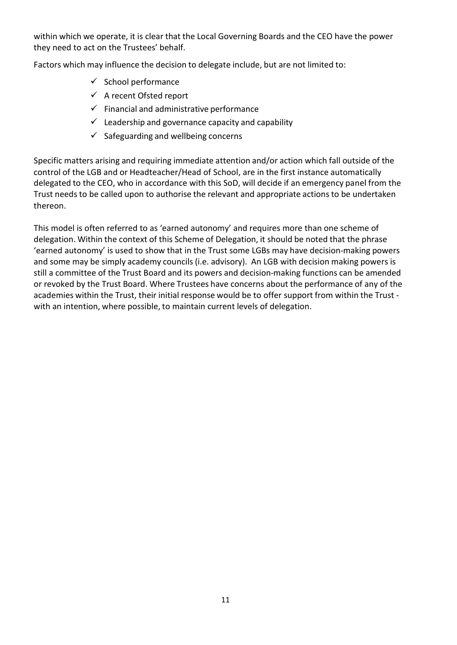within which we operate, it is clear that the Local Governing Boards and the CEO have the power they need to act on the Trustees' behalf.

Factors which may influence the decision to delegate include, but are not limited to:

- $\checkmark$  School performance
- $\checkmark$  A recent Ofsted report
- $\checkmark$  Financial and administrative performance
- $\checkmark$  Leadership and governance capacity and capability
- $\checkmark$  Safeguarding and wellbeing concerns

Specific matters arising and requiring immediate attention and/or action which fall outside of the control of the LGB and or Headteacher/Head of School, are in the first instance automatically delegated to the CEO, who in accordance with this SoD, will decide if an emergency panel from the Trust needs to be called upon to authorise the relevant and appropriate actions to be undertaken thereon.

This model is often referred to as 'earned autonomy' and requires more than one scheme of delegation. Within the context of this Scheme of Delegation, it should be noted that the phrase 'earned autonomy' is used to show that in the Trust some LGBs may have decision-making powers and some may be simply academy councils (i.e. advisory). An LGB with decision making powers is still a committee of the Trust Board and its powers and decision-making functions can be amended or revoked by the Trust Board. Where Trustees have concerns about the performance of any of the academies within the Trust, their initial response would be to offer support from within the Trust with an intention, where possible, to maintain current levels of delegation.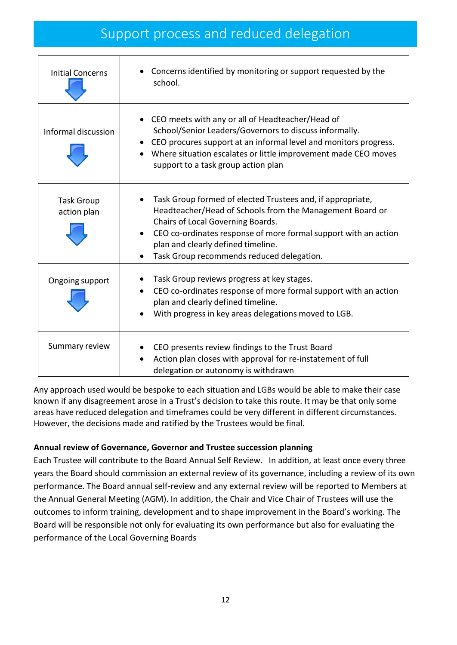### Support process and reduced delegation

| <b>Initial Concerns</b>          | Concerns identified by monitoring or support requested by the<br>school.                                                                                                                                                                                                                                                       |
|----------------------------------|--------------------------------------------------------------------------------------------------------------------------------------------------------------------------------------------------------------------------------------------------------------------------------------------------------------------------------|
| Informal discussion              | CEO meets with any or all of Headteacher/Head of<br>School/Senior Leaders/Governors to discuss informally.<br>• CEO procures support at an informal level and monitors progress.<br>Where situation escalates or little improvement made CEO moves<br>support to a task group action plan                                      |
| <b>Task Group</b><br>action plan | Task Group formed of elected Trustees and, if appropriate,<br>Headteacher/Head of Schools from the Management Board or<br>Chairs of Local Governing Boards.<br>CEO co-ordinates response of more formal support with an action<br>plan and clearly defined timeline.<br>Task Group recommends reduced delegation.<br>$\bullet$ |
| Ongoing support                  | Task Group reviews progress at key stages.<br>CEO co-ordinates response of more formal support with an action<br>plan and clearly defined timeline.<br>With progress in key areas delegations moved to LGB.                                                                                                                    |
| Summary review                   | CEO presents review findings to the Trust Board<br>Action plan closes with approval for re-instatement of full<br>delegation or autonomy is withdrawn                                                                                                                                                                          |

Any approach used would be bespoke to each situation and LGBs would be able to make their case known if any disagreement arose in a Trust's decision to take this route. It may be that only some areas have reduced delegation and timeframes could be very different in different circumstances. However, the decisions made and ratified by the Trustees would be final.

#### **Annual review of Governance, Governor and Trustee succession planning**

Each Trustee will contribute to the Board Annual Self Review. In addition, at least once every three years the Board should commission an external review of its governance, including a review of its own performance. The Board annual self-review and any external review will be reported to Members at the Annual General Meeting (AGM). In addition, the Chair and Vice Chair of Trustees will use the outcomes to inform training, development and to shape improvement in the Board's working. The Board will be responsible not only for evaluating its own performance but also for evaluating the performance of the Local Governing Boards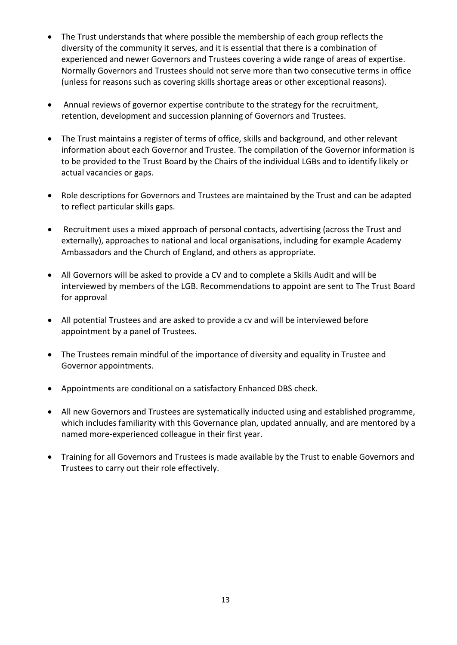- The Trust understands that where possible the membership of each group reflects the diversity of the community it serves, and it is essential that there is a combination of experienced and newer Governors and Trustees covering a wide range of areas of expertise. Normally Governors and Trustees should not serve more than two consecutive terms in office (unless for reasons such as covering skills shortage areas or other exceptional reasons).
- Annual reviews of governor expertise contribute to the strategy for the recruitment, retention, development and succession planning of Governors and Trustees.
- The Trust maintains a register of terms of office, skills and background, and other relevant information about each Governor and Trustee. The compilation of the Governor information is to be provided to the Trust Board by the Chairs of the individual LGBs and to identify likely or actual vacancies or gaps.
- Role descriptions for Governors and Trustees are maintained by the Trust and can be adapted to reflect particular skills gaps.
- Recruitment uses a mixed approach of personal contacts, advertising (across the Trust and externally), approaches to national and local organisations, including for example Academy Ambassadors and the Church of England, and others as appropriate.
- All Governors will be asked to provide a CV and to complete a Skills Audit and will be interviewed by members of the LGB. Recommendations to appoint are sent to The Trust Board for approval
- All potential Trustees and are asked to provide a cv and will be interviewed before appointment by a panel of Trustees.
- The Trustees remain mindful of the importance of diversity and equality in Trustee and Governor appointments.
- Appointments are conditional on a satisfactory Enhanced DBS check.
- All new Governors and Trustees are systematically inducted using and established programme, which includes familiarity with this Governance plan, updated annually, and are mentored by a named more-experienced colleague in their first year.
- Training for all Governors and Trustees is made available by the Trust to enable Governors and Trustees to carry out their role effectively.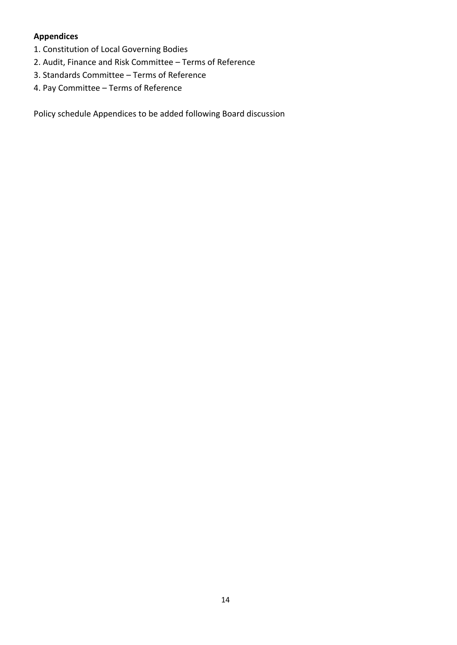#### **Appendices**

- 1. Constitution of Local Governing Bodies
- 2. Audit, Finance and Risk Committee Terms of Reference
- 3. Standards Committee Terms of Reference
- 4. Pay Committee Terms of Reference

Policy schedule Appendices to be added following Board discussion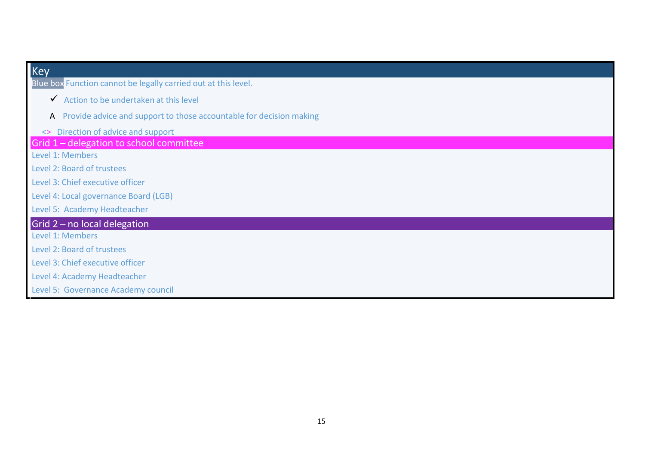| <b>Key</b>                                                            |
|-----------------------------------------------------------------------|
| Blue box Function cannot be legally carried out at this level.        |
| Action to be undertaken at this level                                 |
| A Provide advice and support to those accountable for decision making |
| <> Direction of advice and support                                    |
| Grid 1 - delegation to school committee                               |
| Level 1: Members                                                      |
| Level 2: Board of trustees                                            |
| Level 3: Chief executive officer                                      |
| Level 4: Local governance Board (LGB)                                 |
| Level 5: Academy Headteacher                                          |
| Grid $2$ – no local delegation                                        |
| Level 1: Members                                                      |
| Level 2: Board of trustees                                            |
| Level 3: Chief executive officer                                      |
| Level 4: Academy Headteacher                                          |
| Level 5: Governance Academy council                                   |

T.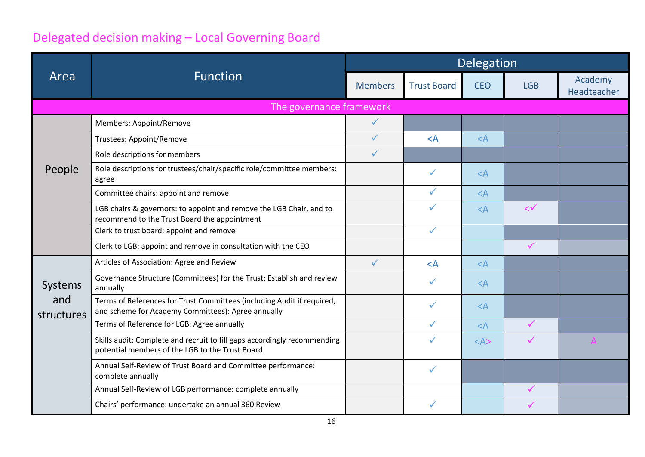### Delegated decision making – Local Governing Board

|                   |                                                                                                                              | Delegation     |                    |            |              |                        |
|-------------------|------------------------------------------------------------------------------------------------------------------------------|----------------|--------------------|------------|--------------|------------------------|
| Area              | <b>Function</b>                                                                                                              | <b>Members</b> | <b>Trust Board</b> | <b>CEO</b> | <b>LGB</b>   | Academy<br>Headteacher |
|                   | The governance framework                                                                                                     |                |                    |            |              |                        |
|                   | Members: Appoint/Remove                                                                                                      | $\checkmark$   |                    |            |              |                        |
|                   | <b>Trustees: Appoint/Remove</b>                                                                                              | $\checkmark$   | $<$ A              | $<$ A      |              |                        |
|                   | Role descriptions for members                                                                                                | $\checkmark$   |                    |            |              |                        |
| People            | Role descriptions for trustees/chair/specific role/committee members:<br>agree                                               |                | $\checkmark$       | $<$ A      |              |                        |
|                   | Committee chairs: appoint and remove                                                                                         |                | ✓                  | $<$ $A$    |              |                        |
|                   | LGB chairs & governors: to appoint and remove the LGB Chair, and to<br>recommend to the Trust Board the appointment          |                | ✓                  | $<$ A      | $\lt\check$  |                        |
|                   | Clerk to trust board: appoint and remove                                                                                     |                | $\checkmark$       |            |              |                        |
|                   | Clerk to LGB: appoint and remove in consultation with the CEO                                                                |                |                    |            | $\checkmark$ |                        |
|                   | Articles of Association: Agree and Review                                                                                    | $\checkmark$   | $<$ A              | $<$ A      |              |                        |
| Systems           | Governance Structure (Committees) for the Trust: Establish and review<br>annually                                            |                | $\checkmark$       | $<$ A      |              |                        |
| and<br>structures | Terms of References for Trust Committees (including Audit if required,<br>and scheme for Academy Committees): Agree annually |                | $\checkmark$       | $<$ A      |              |                        |
|                   | Terms of Reference for LGB: Agree annually                                                                                   |                | ✓                  | $<$ A      | $\checkmark$ |                        |
|                   | Skills audit: Complete and recruit to fill gaps accordingly recommending<br>potential members of the LGB to the Trust Board  |                | ✓                  | $<\forall$ |              |                        |
|                   | Annual Self-Review of Trust Board and Committee performance:<br>complete annually                                            |                | $\checkmark$       |            |              |                        |
|                   | Annual Self-Review of LGB performance: complete annually                                                                     |                |                    |            | $\checkmark$ |                        |
|                   | Chairs' performance: undertake an annual 360 Review                                                                          |                |                    |            |              |                        |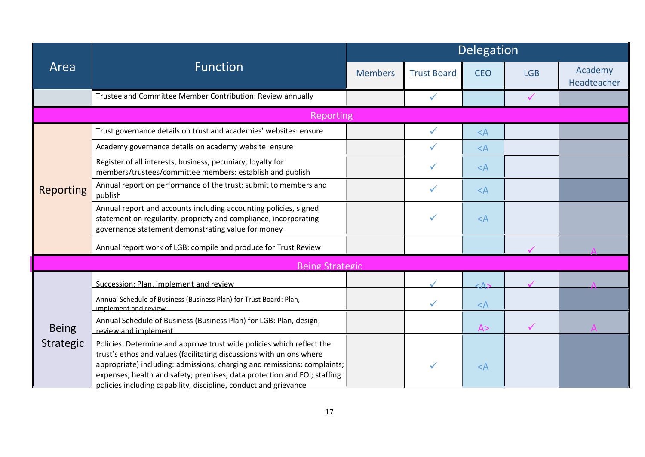|                  |                                                                                                                                                                                                                                                                                                                                                                           | Delegation         |              |            |                        |  |
|------------------|---------------------------------------------------------------------------------------------------------------------------------------------------------------------------------------------------------------------------------------------------------------------------------------------------------------------------------------------------------------------------|--------------------|--------------|------------|------------------------|--|
| Area             | <b>Function</b><br><b>Members</b>                                                                                                                                                                                                                                                                                                                                         | <b>Trust Board</b> | <b>CEO</b>   | <b>LGB</b> | Academy<br>Headteacher |  |
|                  | Trustee and Committee Member Contribution: Review annually                                                                                                                                                                                                                                                                                                                |                    | $\checkmark$ |            | $\checkmark$           |  |
|                  | Reporting                                                                                                                                                                                                                                                                                                                                                                 |                    |              |            |                        |  |
|                  | Trust governance details on trust and academies' websites: ensure                                                                                                                                                                                                                                                                                                         |                    |              | $<$ A      |                        |  |
|                  | Academy governance details on academy website: ensure                                                                                                                                                                                                                                                                                                                     |                    | ✓            | $<$ $A$    |                        |  |
|                  | Register of all interests, business, pecuniary, loyalty for<br>members/trustees/committee members: establish and publish                                                                                                                                                                                                                                                  |                    |              | $<$ A      |                        |  |
| <b>Reporting</b> | Annual report on performance of the trust: submit to members and<br>publish                                                                                                                                                                                                                                                                                               |                    | ✓            | $<$ A      |                        |  |
|                  | Annual report and accounts including accounting policies, signed<br>statement on regularity, propriety and compliance, incorporating<br>governance statement demonstrating value for money                                                                                                                                                                                |                    | ✓            | $<$ A      |                        |  |
|                  | Annual report work of LGB: compile and produce for Trust Review                                                                                                                                                                                                                                                                                                           |                    |              |            |                        |  |
|                  | <b>Being Strategic</b>                                                                                                                                                                                                                                                                                                                                                    |                    |              |            |                        |  |
|                  | Succession: Plan, implement and review                                                                                                                                                                                                                                                                                                                                    |                    |              | - Δ        |                        |  |
|                  | Annual Schedule of Business (Business Plan) for Trust Board: Plan,<br>implement and review                                                                                                                                                                                                                                                                                |                    | ✓            | $<$ A      |                        |  |
| <b>Being</b>     | Annual Schedule of Business (Business Plan) for LGB: Plan, design,<br>review and implement                                                                                                                                                                                                                                                                                |                    |              | A>         | $\checkmark$           |  |
| Strategic        | Policies: Determine and approve trust wide policies which reflect the<br>trust's ethos and values (facilitating discussions with unions where<br>appropriate) including: admissions; charging and remissions; complaints;<br>expenses; health and safety; premises; data protection and FOI; staffing<br>policies including capability, discipline, conduct and grievance |                    | ✓            | $<$ A      |                        |  |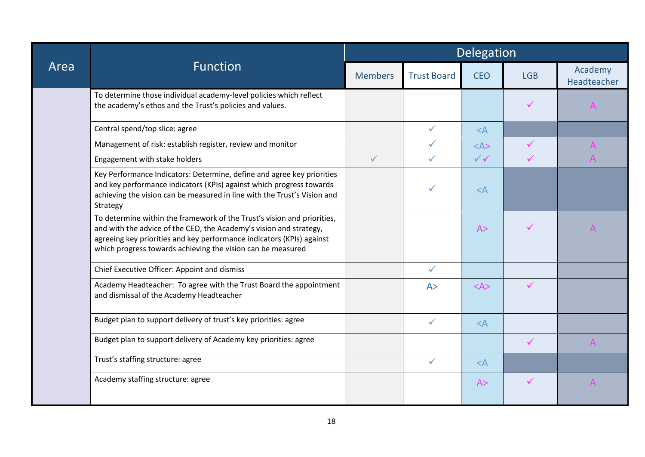|      |                                                                                                                                                                                                                                                                                       | Delegation     |                    |                         |              |                        |
|------|---------------------------------------------------------------------------------------------------------------------------------------------------------------------------------------------------------------------------------------------------------------------------------------|----------------|--------------------|-------------------------|--------------|------------------------|
| Area | <b>Function</b>                                                                                                                                                                                                                                                                       | <b>Members</b> | <b>Trust Board</b> | <b>CEO</b>              | <b>LGB</b>   | Academy<br>Headteacher |
|      | To determine those individual academy-level policies which reflect<br>the academy's ethos and the Trust's policies and values.                                                                                                                                                        |                |                    |                         | $\checkmark$ |                        |
|      | Central spend/top slice: agree                                                                                                                                                                                                                                                        |                | $\checkmark$       | $<$ A                   |              |                        |
|      | Management of risk: establish register, review and monitor                                                                                                                                                                                                                            |                | $\checkmark$       | $<\forall$              | $\checkmark$ |                        |
|      | Engagement with stake holders                                                                                                                                                                                                                                                         | $\checkmark$   | $\checkmark$       | $\checkmark\checkmark$  | $\checkmark$ |                        |
|      | Key Performance Indicators: Determine, define and agree key priorities<br>and key performance indicators (KPIs) against which progress towards<br>achieving the vision can be measured in line with the Trust's Vision and<br>Strategy                                                |                |                    | $<$ $A$                 |              |                        |
|      | To determine within the framework of the Trust's vision and priorities,<br>and with the advice of the CEO, the Academy's vision and strategy,<br>agreeing key priorities and key performance indicators (KPIs) against<br>which progress towards achieving the vision can be measured |                |                    | A>                      |              |                        |
|      | Chief Executive Officer: Appoint and dismiss                                                                                                                                                                                                                                          |                | $\checkmark$       |                         |              |                        |
|      | Academy Headteacher: To agree with the Trust Board the appointment<br>and dismissal of the Academy Headteacher                                                                                                                                                                        |                | A>                 | $<\mathsf{A}\mathsf{>}$ | $\checkmark$ |                        |
|      | Budget plan to support delivery of trust's key priorities: agree                                                                                                                                                                                                                      |                | $\checkmark$       | $<$ A                   |              |                        |
|      | Budget plan to support delivery of Academy key priorities: agree                                                                                                                                                                                                                      |                |                    |                         | $\checkmark$ |                        |
|      | Trust's staffing structure: agree                                                                                                                                                                                                                                                     |                | $\checkmark$       | $<$ A                   |              |                        |
|      | Academy staffing structure: agree                                                                                                                                                                                                                                                     |                |                    | A>                      | $\checkmark$ |                        |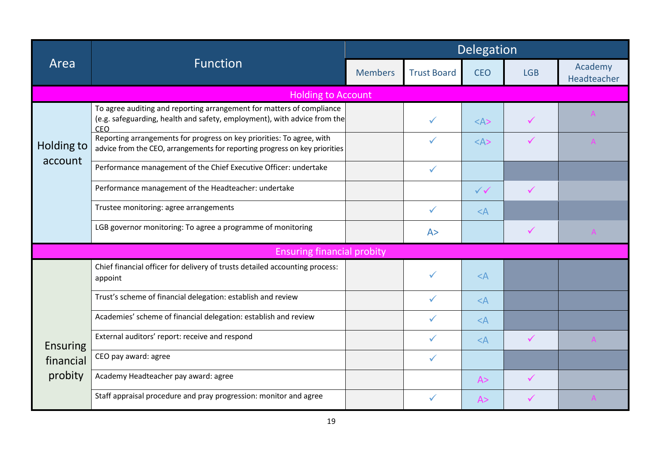|                       |                                                                                                                                                          | Delegation     |                    |              |              |                        |
|-----------------------|----------------------------------------------------------------------------------------------------------------------------------------------------------|----------------|--------------------|--------------|--------------|------------------------|
| Area                  | <b>Function</b>                                                                                                                                          | <b>Members</b> | <b>Trust Board</b> | <b>CEO</b>   | <b>LGB</b>   | Academy<br>Headteacher |
|                       | <b>Holding to Account</b>                                                                                                                                |                |                    |              |              |                        |
|                       | To agree auditing and reporting arrangement for matters of compliance<br>(e.g. safeguarding, health and safety, employment), with advice from the<br>CEO |                | $\checkmark$       | $<\forall$   | ✓            |                        |
| Holding to<br>account | Reporting arrangements for progress on key priorities: To agree, with<br>advice from the CEO, arrangements for reporting progress on key priorities      |                | $\checkmark$       | $<\forall$   |              |                        |
|                       | Performance management of the Chief Executive Officer: undertake                                                                                         |                | $\checkmark$       |              |              |                        |
|                       | Performance management of the Headteacher: undertake                                                                                                     |                |                    | $\checkmark$ | $\checkmark$ |                        |
|                       | Trustee monitoring: agree arrangements                                                                                                                   |                | $\checkmark$       | $\leq$ A     |              |                        |
|                       | LGB governor monitoring: To agree a programme of monitoring                                                                                              |                | A >                |              | $\checkmark$ |                        |
|                       | <b>Ensuring financial probity</b>                                                                                                                        |                |                    |              |              |                        |
|                       | Chief financial officer for delivery of trusts detailed accounting process:<br>appoint                                                                   |                | $\checkmark$       | $<$ A        |              |                        |
|                       | Trust's scheme of financial delegation: establish and review                                                                                             |                | $\checkmark$       | $<$ A        |              |                        |
|                       | Academies' scheme of financial delegation: establish and review                                                                                          |                |                    | $<$ A        |              |                        |
| <b>Ensuring</b>       | External auditors' report: receive and respond                                                                                                           |                | $\checkmark$       | $<$ A        | $\checkmark$ |                        |
| financial             | CEO pay award: agree                                                                                                                                     |                | $\checkmark$       |              |              |                        |
| probity               | Academy Headteacher pay award: agree                                                                                                                     |                |                    | A>           | $\checkmark$ |                        |
|                       | Staff appraisal procedure and pray progression: monitor and agree                                                                                        |                | ✓                  | A>           |              |                        |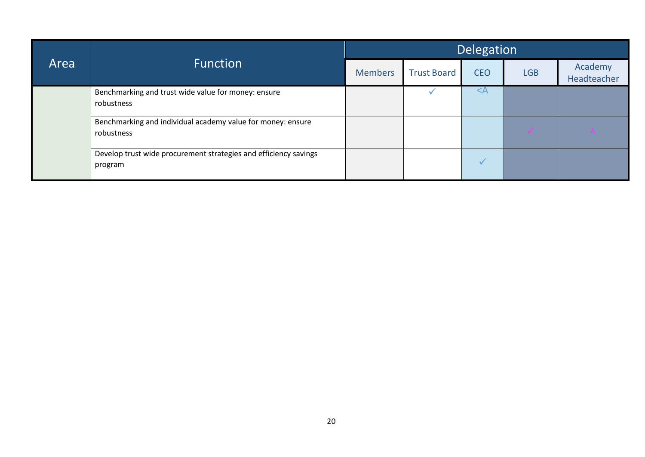| Area | <b>Function</b>                                                             | Delegation     |                    |            |            |                        |  |
|------|-----------------------------------------------------------------------------|----------------|--------------------|------------|------------|------------------------|--|
|      |                                                                             | <b>Members</b> | <b>Trust Board</b> | <b>CEO</b> | <b>LGB</b> | Academy<br>Headteacher |  |
|      | Benchmarking and trust wide value for money: ensure<br>robustness           |                |                    |            |            |                        |  |
|      | Benchmarking and individual academy value for money: ensure<br>robustness   |                |                    |            | $\sqrt{}$  | A                      |  |
|      | Develop trust wide procurement strategies and efficiency savings<br>program |                |                    |            |            |                        |  |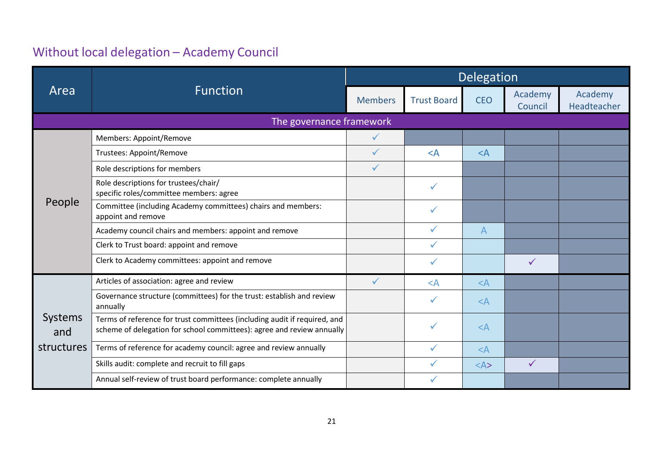## Without local delegation – Academy Council

|                |                                                                                                                                                     | Delegation     |                    |            |                    |                        |  |
|----------------|-----------------------------------------------------------------------------------------------------------------------------------------------------|----------------|--------------------|------------|--------------------|------------------------|--|
| Area           | <b>Function</b>                                                                                                                                     | <b>Members</b> | <b>Trust Board</b> | <b>CEO</b> | Academy<br>Council | Academy<br>Headteacher |  |
|                | The governance framework                                                                                                                            |                |                    |            |                    |                        |  |
|                | Members: Appoint/Remove                                                                                                                             | $\checkmark$   |                    |            |                    |                        |  |
|                | Trustees: Appoint/Remove                                                                                                                            | $\sqrt{2}$     | $\leq$ A           | $\leq$ A   |                    |                        |  |
|                | Role descriptions for members                                                                                                                       | $\checkmark$   |                    |            |                    |                        |  |
|                | Role descriptions for trustees/chair/<br>specific roles/committee members: agree                                                                    |                | $\checkmark$       |            |                    |                        |  |
| People         | Committee (including Academy committees) chairs and members:<br>appoint and remove                                                                  |                | ✓                  |            |                    |                        |  |
|                | Academy council chairs and members: appoint and remove                                                                                              |                | $\checkmark$       | A          |                    |                        |  |
|                | Clerk to Trust board: appoint and remove                                                                                                            |                | $\checkmark$       |            |                    |                        |  |
|                | Clerk to Academy committees: appoint and remove                                                                                                     |                | $\checkmark$       |            | $\checkmark$       |                        |  |
|                | Articles of association: agree and review                                                                                                           | $\checkmark$   | $\leq$ A           | $<$ A      |                    |                        |  |
|                | Governance structure (committees) for the trust: establish and review<br>annually                                                                   |                | $\checkmark$       | $\leq$ A   |                    |                        |  |
| Systems<br>and | Terms of reference for trust committees (including audit if required, and<br>scheme of delegation for school committees): agree and review annually |                | ✓                  | $\leq$ A   |                    |                        |  |
| structures     | Terms of reference for academy council: agree and review annually                                                                                   |                | ✓                  | $\leq$ A   |                    |                        |  |
|                | Skills audit: complete and recruit to fill gaps                                                                                                     |                |                    | $<\forall$ | $\checkmark$       |                        |  |
|                | Annual self-review of trust board performance: complete annually                                                                                    |                |                    |            |                    |                        |  |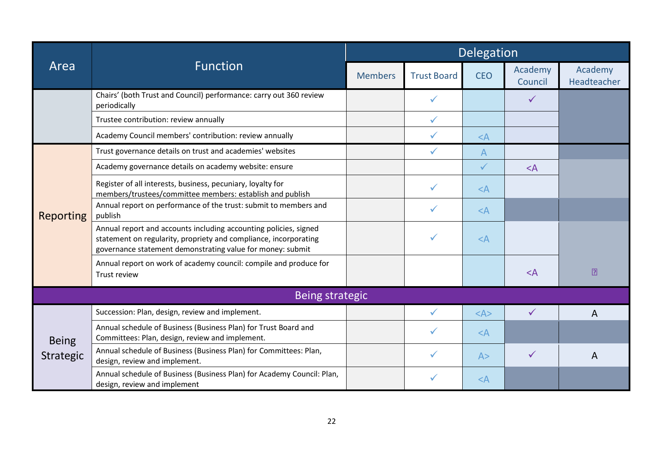|                                  |                                                                                                                                                                                                    | Delegation     |                    |                         |                    |                        |
|----------------------------------|----------------------------------------------------------------------------------------------------------------------------------------------------------------------------------------------------|----------------|--------------------|-------------------------|--------------------|------------------------|
| Area                             | <b>Function</b>                                                                                                                                                                                    | <b>Members</b> | <b>Trust Board</b> | <b>CEO</b>              | Academy<br>Council | Academy<br>Headteacher |
|                                  | Chairs' (both Trust and Council) performance: carry out 360 review<br>periodically                                                                                                                 |                | ✓                  |                         | $\checkmark$       |                        |
|                                  | Trustee contribution: review annually                                                                                                                                                              |                | $\checkmark$       |                         |                    |                        |
|                                  | Academy Council members' contribution: review annually                                                                                                                                             |                | $\checkmark$       | $<$ A                   |                    |                        |
|                                  | Trust governance details on trust and academies' websites                                                                                                                                          |                | $\checkmark$       | $\overline{A}$          |                    |                        |
|                                  | Academy governance details on academy website: ensure                                                                                                                                              |                |                    | $\checkmark$            | $\leq$ A           |                        |
|                                  | Register of all interests, business, pecuniary, loyalty for<br>members/trustees/committee members: establish and publish                                                                           |                |                    | $\leq$ A                |                    |                        |
| <b>Reporting</b>                 | Annual report on performance of the trust: submit to members and<br>publish                                                                                                                        |                | $\checkmark$       | $<$ A                   |                    |                        |
|                                  | Annual report and accounts including accounting policies, signed<br>statement on regularity, propriety and compliance, incorporating<br>governance statement demonstrating value for money: submit |                | $\checkmark$       | $<$ A                   |                    |                        |
|                                  | Annual report on work of academy council: compile and produce for<br>Trust review                                                                                                                  |                |                    |                         | $<$ A              | $\boxed{2}$            |
|                                  | <b>Being strategic</b>                                                                                                                                                                             |                |                    |                         |                    |                        |
|                                  | Succession: Plan, design, review and implement.                                                                                                                                                    |                | $\checkmark$       | $<\mathsf{A}\mathsf{>}$ | $\checkmark$       | A                      |
| <b>Being</b><br><b>Strategic</b> | Annual schedule of Business (Business Plan) for Trust Board and<br>Committees: Plan, design, review and implement.                                                                                 |                | $\checkmark$       | $<$ A                   |                    |                        |
|                                  | Annual schedule of Business (Business Plan) for Committees: Plan,<br>design, review and implement.                                                                                                 |                | ✓                  | A>                      | $\checkmark$       | A                      |
|                                  | Annual schedule of Business (Business Plan) for Academy Council: Plan,<br>design, review and implement                                                                                             |                | $\checkmark$       | $\leq$ A                |                    |                        |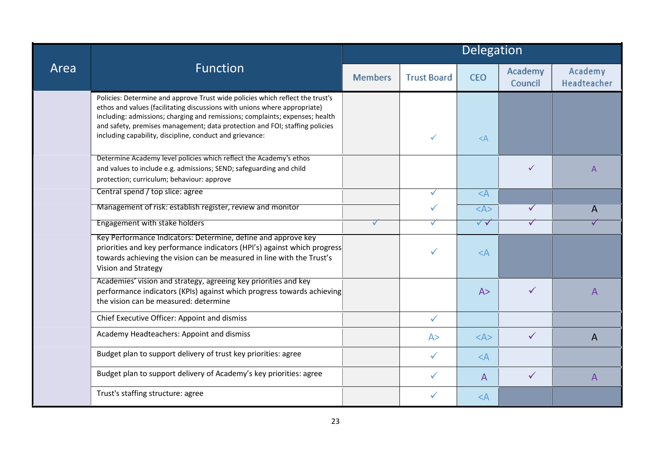|      |                                                                                                                                                                                                                                                                                                                                                                                       | Delegation     |                    |                         |                    |                        |
|------|---------------------------------------------------------------------------------------------------------------------------------------------------------------------------------------------------------------------------------------------------------------------------------------------------------------------------------------------------------------------------------------|----------------|--------------------|-------------------------|--------------------|------------------------|
| Area | <b>Function</b>                                                                                                                                                                                                                                                                                                                                                                       | <b>Members</b> | <b>Trust Board</b> | <b>CEO</b>              | Academy<br>Council | Academy<br>Headteacher |
|      | Policies: Determine and approve Trust wide policies which reflect the trust's<br>ethos and values (facilitating discussions with unions where appropriate)<br>including: admissions; charging and remissions; complaints; expenses; health<br>and safety, premises management; data protection and FOI; staffing policies<br>including capability, discipline, conduct and grievance: |                | $\checkmark$       | $<$ A                   |                    |                        |
|      | Determine Academy level policies which reflect the Academy's ethos<br>and values to include e.g. admissions; SEND; safeguarding and child<br>protection; curriculum; behaviour: approve                                                                                                                                                                                               |                |                    |                         | ✓                  | A                      |
|      | Central spend / top slice: agree                                                                                                                                                                                                                                                                                                                                                      |                | ✓                  | $<$ A                   |                    |                        |
|      | Management of risk: establish register, review and monitor                                                                                                                                                                                                                                                                                                                            |                | $\checkmark$       | $\leq$ A>               | ✓                  | A                      |
|      | Engagement with stake holders                                                                                                                                                                                                                                                                                                                                                         | $\checkmark$   | ✓                  | $\sqrt{\sqrt{2}}$       | ✓                  |                        |
|      | Key Performance Indicators: Determine, define and approve key<br>priorities and key performance indicators (HPI's) against which progress<br>towards achieving the vision can be measured in line with the Trust's<br>Vision and Strategy                                                                                                                                             |                |                    | $<$ A                   |                    |                        |
|      | Academies' vision and strategy, agreeing key priorities and key<br>performance indicators (KPIs) against which progress towards achieving<br>the vision can be measured: determine                                                                                                                                                                                                    |                |                    | A>                      | $\checkmark$       | A                      |
|      | Chief Executive Officer: Appoint and dismiss                                                                                                                                                                                                                                                                                                                                          |                | $\checkmark$       |                         |                    |                        |
|      | Academy Headteachers: Appoint and dismiss                                                                                                                                                                                                                                                                                                                                             |                | A >                | $<\mathsf{A}\mathsf{>}$ | ✓                  | A                      |
|      | Budget plan to support delivery of trust key priorities: agree                                                                                                                                                                                                                                                                                                                        |                | $\checkmark$       | $<$ A                   |                    |                        |
|      | Budget plan to support delivery of Academy's key priorities: agree                                                                                                                                                                                                                                                                                                                    |                | ✓                  | $\mathsf{A}$            | $\checkmark$       | A                      |
|      | Trust's staffing structure: agree                                                                                                                                                                                                                                                                                                                                                     |                | ✓                  | $<$ A                   |                    |                        |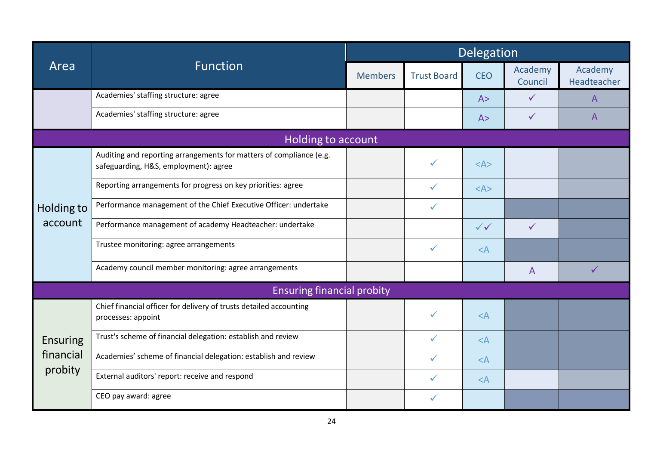|                 |                                                                                                              | Delegation     |                    |                         |                    |                        |
|-----------------|--------------------------------------------------------------------------------------------------------------|----------------|--------------------|-------------------------|--------------------|------------------------|
| Area            | <b>Function</b>                                                                                              | <b>Members</b> | <b>Trust Board</b> | <b>CEO</b>              | Academy<br>Council | Academy<br>Headteacher |
|                 | Academies' staffing structure: agree                                                                         |                |                    | A >                     | $\checkmark$       | A                      |
|                 | Academies' staffing structure: agree                                                                         |                |                    | A>                      |                    | A                      |
|                 | Holding to account                                                                                           |                |                    |                         |                    |                        |
|                 | Auditing and reporting arrangements for matters of compliance (e.g.<br>safeguarding, H&S, employment): agree |                | ✓                  | $<\mathsf{A}\mathsf{>}$ |                    |                        |
|                 | Reporting arrangements for progress on key priorities: agree                                                 |                | ✓                  | $<\mathsf{A}\mathsf{>}$ |                    |                        |
| Holding to      | Performance management of the Chief Executive Officer: undertake                                             |                | $\checkmark$       |                         |                    |                        |
| account         | Performance management of academy Headteacher: undertake                                                     |                |                    | $\checkmark$            | $\checkmark$       |                        |
|                 | Trustee monitoring: agree arrangements                                                                       |                | $\checkmark$       | $<$ A                   |                    |                        |
|                 | Academy council member monitoring: agree arrangements                                                        |                |                    |                         | A                  | $\checkmark$           |
|                 | <b>Ensuring financial probity</b>                                                                            |                |                    |                         |                    |                        |
|                 | Chief financial officer for delivery of trusts detailed accounting<br>processes: appoint                     |                | ✓                  | $<$ A                   |                    |                        |
| <b>Ensuring</b> | Trust's scheme of financial delegation: establish and review                                                 |                | ✓                  | $<$ A                   |                    |                        |
| financial       | Academies' scheme of financial delegation: establish and review                                              |                |                    | $<$ A                   |                    |                        |
| probity         | External auditors' report: receive and respond                                                               |                |                    | $<$ A                   |                    |                        |
|                 | CEO pay award: agree                                                                                         |                | ✓                  |                         |                    |                        |